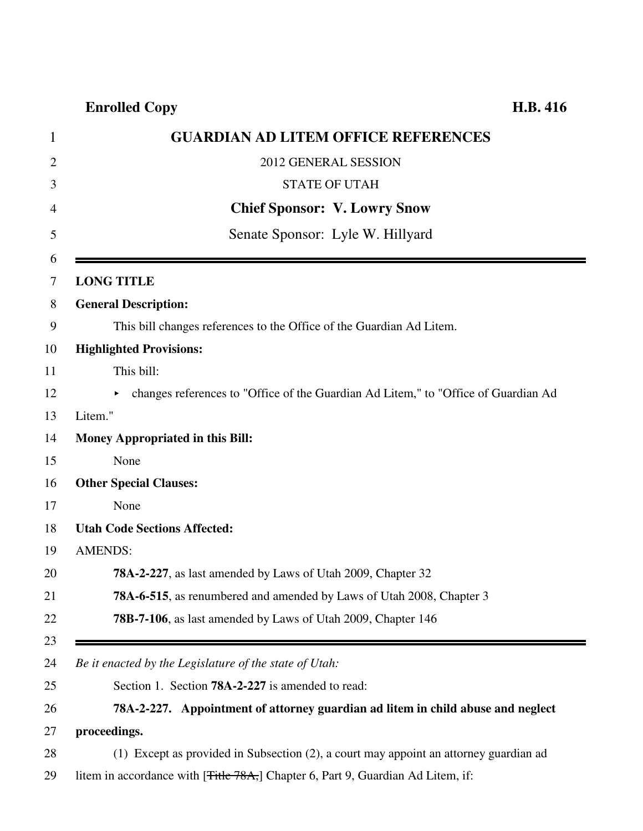| <b>GUARDIAN AD LITEM OFFICE REFERENCES</b>                                                   |
|----------------------------------------------------------------------------------------------|
| 2012 GENERAL SESSION                                                                         |
| <b>STATE OF UTAH</b>                                                                         |
| <b>Chief Sponsor: V. Lowry Snow</b>                                                          |
| Senate Sponsor: Lyle W. Hillyard                                                             |
|                                                                                              |
| <b>LONG TITLE</b>                                                                            |
| <b>General Description:</b>                                                                  |
| This bill changes references to the Office of the Guardian Ad Litem.                         |
| <b>Highlighted Provisions:</b>                                                               |
| This bill:                                                                                   |
| changes references to "Office of the Guardian Ad Litem," to "Office of Guardian Ad           |
| Litem."                                                                                      |
| <b>Money Appropriated in this Bill:</b>                                                      |
| None                                                                                         |
| <b>Other Special Clauses:</b>                                                                |
| None                                                                                         |
| <b>Utah Code Sections Affected:</b>                                                          |
| <b>AMENDS:</b>                                                                               |
| <b>78A-2-227</b> , as last amended by Laws of Utah 2009, Chapter 32                          |
| 78A-6-515, as renumbered and amended by Laws of Utah 2008, Chapter 3                         |
| 78B-7-106, as last amended by Laws of Utah 2009, Chapter 146                                 |
|                                                                                              |
| Be it enacted by the Legislature of the state of Utah:                                       |
| Section 1. Section <b>78A-2-227</b> is amended to read:                                      |
| 78A-2-227. Appointment of attorney guardian ad litem in child abuse and neglect              |
| proceedings.                                                                                 |
| (1) Except as provided in Subsection (2), a court may appoint an attorney guardian ad        |
| litem in accordance with [ <del>Title 78A,</del> ] Chapter 6, Part 9, Guardian Ad Litem, if: |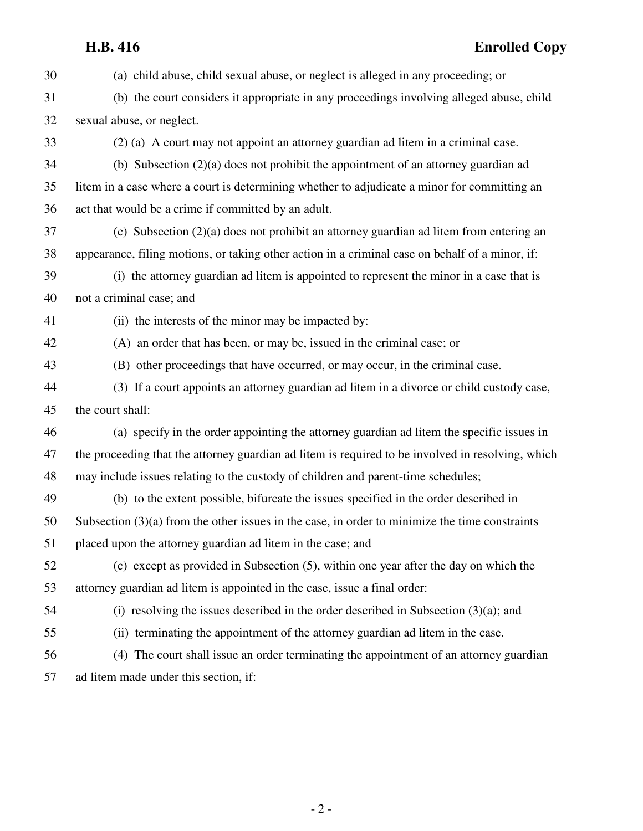## **H.B. 416 Enrolled Copy**

30 (a) child abuse, child sexual abuse, or neglect is alleged in any proceeding; or 31 (b) the court considers it appropriate in any proceedings involving alleged abuse, child 32 sexual abuse, or neglect. 33 (2) (a) A court may not appoint an attorney guardian ad litem in a criminal case. 34 (b) Subsection (2)(a) does not prohibit the appointment of an attorney guardian ad 35 litem in a case where a court is determining whether to adjudicate a minor for committing an 36 act that would be a crime if committed by an adult. 37 (c) Subsection (2)(a) does not prohibit an attorney guardian ad litem from entering an 38 appearance, filing motions, or taking other action in a criminal case on behalf of a minor, if: 39 (i) the attorney guardian ad litem is appointed to represent the minor in a case that is 40 not a criminal case; and 41 (ii) the interests of the minor may be impacted by: 42 (A) an order that has been, or may be, issued in the criminal case; or 43 (B) other proceedings that have occurred, or may occur, in the criminal case. 44 (3) If a court appoints an attorney guardian ad litem in a divorce or child custody case, 45 the court shall: 46 (a) specify in the order appointing the attorney guardian ad litem the specific issues in 47 the proceeding that the attorney guardian ad litem is required to be involved in resolving, which 48 may include issues relating to the custody of children and parent-time schedules; 49 (b) to the extent possible, bifurcate the issues specified in the order described in 50 Subsection (3)(a) from the other issues in the case, in order to minimize the time constraints 51 placed upon the attorney guardian ad litem in the case; and 52 (c) except as provided in Subsection (5), within one year after the day on which the 53 attorney guardian ad litem is appointed in the case, issue a final order: 54 (i) resolving the issues described in the order described in Subsection (3)(a); and 55 (ii) terminating the appointment of the attorney guardian ad litem in the case. 56 (4) The court shall issue an order terminating the appointment of an attorney guardian 57 ad litem made under this section, if: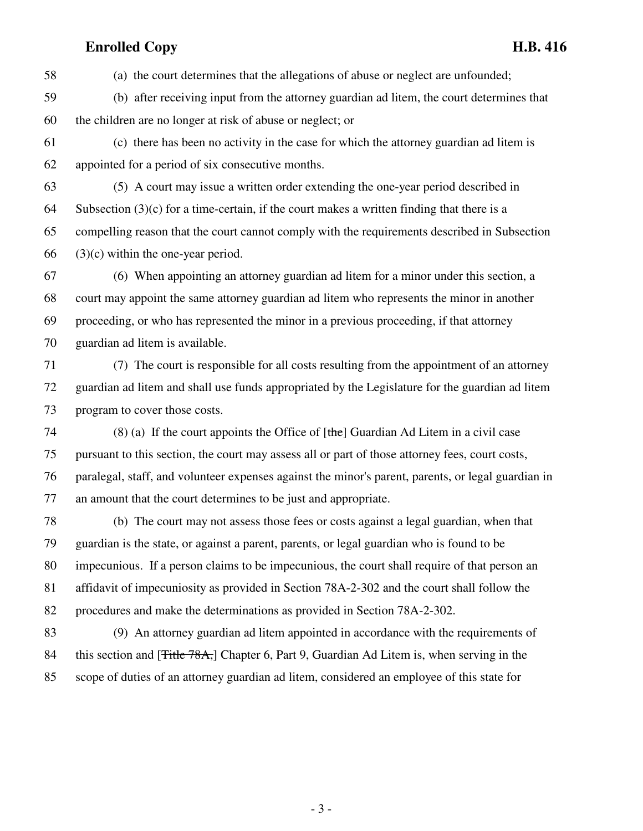58 (a) the court determines that the allegations of abuse or neglect are unfounded;

- 59 (b) after receiving input from the attorney guardian ad litem, the court determines that 60 the children are no longer at risk of abuse or neglect; or
- 61 (c) there has been no activity in the case for which the attorney guardian ad litem is 62 appointed for a period of six consecutive months.
- 63 (5) A court may issue a written order extending the one-year period described in 64 Subsection  $(3)(c)$  for a time-certain, if the court makes a written finding that there is a 65 compelling reason that the court cannot comply with the requirements described in Subsection 66 (3)(c) within the one-year period.
- 67 (6) When appointing an attorney guardian ad litem for a minor under this section, a 68 court may appoint the same attorney guardian ad litem who represents the minor in another 69 proceeding, or who has represented the minor in a previous proceeding, if that attorney 70 guardian ad litem is available.
- 71 (7) The court is responsible for all costs resulting from the appointment of an attorney 72 guardian ad litem and shall use funds appropriated by the Legislature for the guardian ad litem 73 program to cover those costs.
- 74 (8) (a) If the court appoints the Office of  $[the]$  Guardian Ad Litem in a civil case 75 pursuant to this section, the court may assess all or part of those attorney fees, court costs, 76 paralegal, staff, and volunteer expenses against the minor's parent, parents, or legal guardian in 77 an amount that the court determines to be just and appropriate.
- 78 (b) The court may not assess those fees or costs against a legal guardian, when that 79 guardian is the state, or against a parent, parents, or legal guardian who is found to be 80 impecunious. If a person claims to be impecunious, the court shall require of that person an 81 affidavit of impecuniosity as provided in Section 78A-2-302 and the court shall follow the 82 procedures and make the determinations as provided in Section 78A-2-302.
- 83 (9) An attorney guardian ad litem appointed in accordance with the requirements of 84 this section and [Title 78A,] Chapter 6, Part 9, Guardian Ad Litem is, when serving in the 85 scope of duties of an attorney guardian ad litem, considered an employee of this state for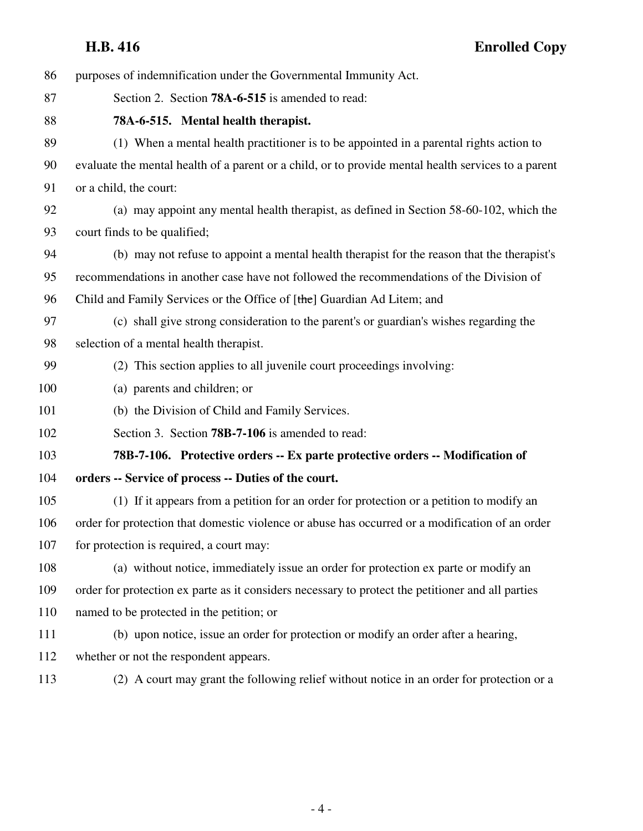| 86  | purposes of indemnification under the Governmental Immunity Act.                                    |
|-----|-----------------------------------------------------------------------------------------------------|
| 87  | Section 2. Section 78A-6-515 is amended to read:                                                    |
| 88  | 78A-6-515. Mental health therapist.                                                                 |
| 89  | (1) When a mental health practitioner is to be appointed in a parental rights action to             |
| 90  | evaluate the mental health of a parent or a child, or to provide mental health services to a parent |
| 91  | or a child, the court:                                                                              |
| 92  | (a) may appoint any mental health therapist, as defined in Section 58-60-102, which the             |
| 93  | court finds to be qualified;                                                                        |
| 94  | (b) may not refuse to appoint a mental health therapist for the reason that the therapist's         |
| 95  | recommendations in another case have not followed the recommendations of the Division of            |
| 96  | Child and Family Services or the Office of [the] Guardian Ad Litem; and                             |
| 97  | (c) shall give strong consideration to the parent's or guardian's wishes regarding the              |
| 98  | selection of a mental health therapist.                                                             |
| 99  | (2) This section applies to all juvenile court proceedings involving:                               |
| 100 | (a) parents and children; or                                                                        |
| 101 | (b) the Division of Child and Family Services.                                                      |
| 102 | Section 3. Section 78B-7-106 is amended to read:                                                    |
| 103 | 78B-7-106. Protective orders -- Ex parte protective orders -- Modification of                       |
| 104 | orders -- Service of process -- Duties of the court.                                                |
| 105 | (1) If it appears from a petition for an order for protection or a petition to modify an            |
| 106 | order for protection that domestic violence or abuse has occurred or a modification of an order     |
| 107 | for protection is required, a court may:                                                            |
| 108 | (a) without notice, immediately issue an order for protection ex parte or modify an                 |
| 109 | order for protection ex parte as it considers necessary to protect the petitioner and all parties   |
| 110 | named to be protected in the petition; or                                                           |
| 111 | (b) upon notice, issue an order for protection or modify an order after a hearing,                  |
| 112 | whether or not the respondent appears.                                                              |
| 113 | (2) A court may grant the following relief without notice in an order for protection or a           |

- 4 -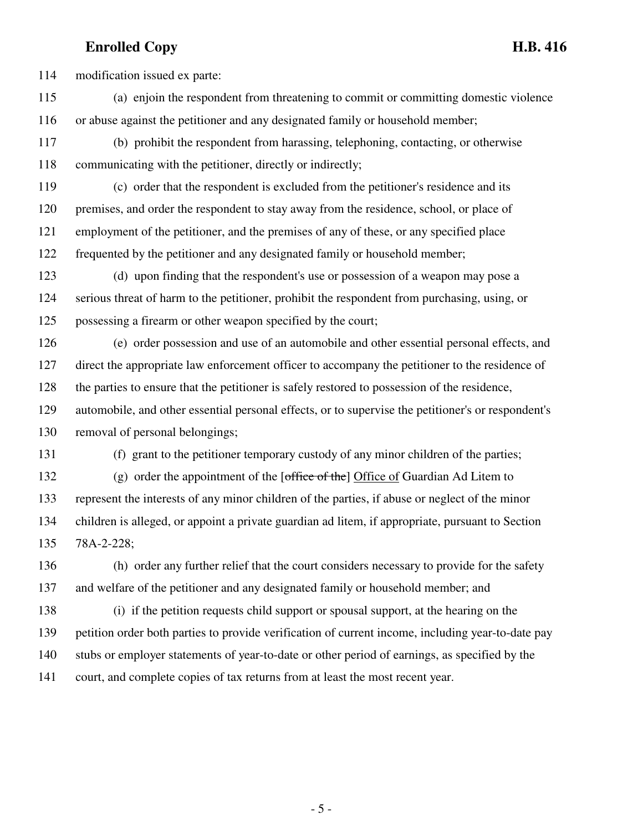114 modification issued ex parte:

- 115 (a) enjoin the respondent from threatening to commit or committing domestic violence 116 or abuse against the petitioner and any designated family or household member;
- 117 (b) prohibit the respondent from harassing, telephoning, contacting, or otherwise 118 communicating with the petitioner, directly or indirectly;
- 119 (c) order that the respondent is excluded from the petitioner's residence and its 120 premises, and order the respondent to stay away from the residence, school, or place of 121 employment of the petitioner, and the premises of any of these, or any specified place 122 frequented by the petitioner and any designated family or household member;
- 123 (d) upon finding that the respondent's use or possession of a weapon may pose a 124 serious threat of harm to the petitioner, prohibit the respondent from purchasing, using, or 125 possessing a firearm or other weapon specified by the court;
- 126 (e) order possession and use of an automobile and other essential personal effects, and 127 direct the appropriate law enforcement officer to accompany the petitioner to the residence of 128 the parties to ensure that the petitioner is safely restored to possession of the residence, 129 automobile, and other essential personal effects, or to supervise the petitioner's or respondent's 130 removal of personal belongings;
- 

131 (f) grant to the petitioner temporary custody of any minor children of the parties;

- 132 (g) order the appointment of the [office of the] Office of Guardian Ad Litem to 133 represent the interests of any minor children of the parties, if abuse or neglect of the minor 134 children is alleged, or appoint a private guardian ad litem, if appropriate, pursuant to Section 135 78A-2-228;
- 136 (h) order any further relief that the court considers necessary to provide for the safety 137 and welfare of the petitioner and any designated family or household member; and
- 138 (i) if the petition requests child support or spousal support, at the hearing on the 139 petition order both parties to provide verification of current income, including year-to-date pay 140 stubs or employer statements of year-to-date or other period of earnings, as specified by the 141 court, and complete copies of tax returns from at least the most recent year.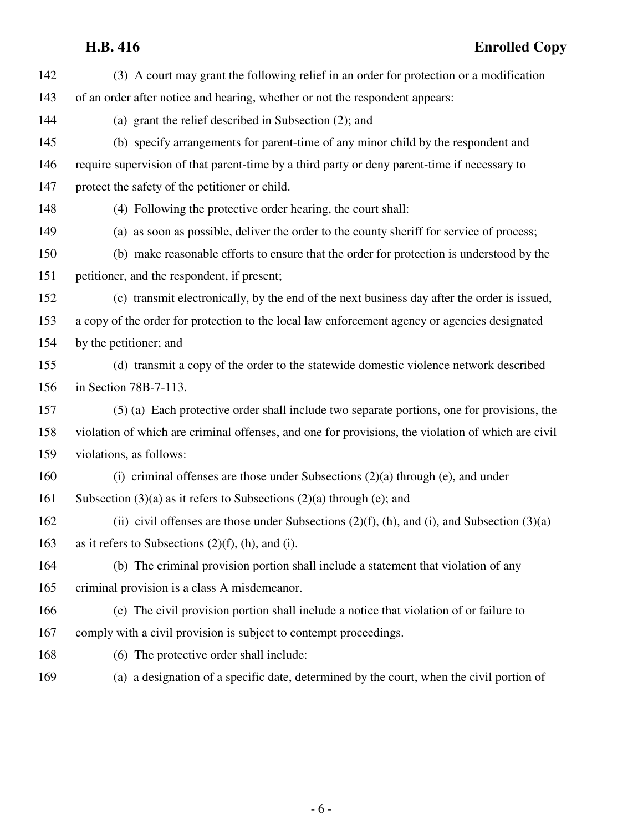| 142 | (3) A court may grant the following relief in an order for protection or a modification            |
|-----|----------------------------------------------------------------------------------------------------|
| 143 | of an order after notice and hearing, whether or not the respondent appears:                       |
| 144 | (a) grant the relief described in Subsection (2); and                                              |
| 145 | (b) specify arrangements for parent-time of any minor child by the respondent and                  |
| 146 | require supervision of that parent-time by a third party or deny parent-time if necessary to       |
| 147 | protect the safety of the petitioner or child.                                                     |
| 148 | (4) Following the protective order hearing, the court shall:                                       |
| 149 | (a) as soon as possible, deliver the order to the county sheriff for service of process;           |
| 150 | (b) make reasonable efforts to ensure that the order for protection is understood by the           |
| 151 | petitioner, and the respondent, if present;                                                        |
| 152 | (c) transmit electronically, by the end of the next business day after the order is issued,        |
| 153 | a copy of the order for protection to the local law enforcement agency or agencies designated      |
| 154 | by the petitioner; and                                                                             |
| 155 | (d) transmit a copy of the order to the statewide domestic violence network described              |
| 156 | in Section 78B-7-113.                                                                              |
| 157 | (5) (a) Each protective order shall include two separate portions, one for provisions, the         |
| 158 | violation of which are criminal offenses, and one for provisions, the violation of which are civil |
| 159 | violations, as follows:                                                                            |
| 160 | (i) criminal offenses are those under Subsections $(2)(a)$ through (e), and under                  |
| 161 | Subsection $(3)(a)$ as it refers to Subsections $(2)(a)$ through (e); and                          |
| 162 | (ii) civil offenses are those under Subsections $(2)(f)$ , (h), and (i), and Subsection $(3)(a)$   |
| 163 | as it refers to Subsections $(2)(f)$ , (h), and (i).                                               |
| 164 | (b) The criminal provision portion shall include a statement that violation of any                 |
| 165 | criminal provision is a class A misdemeanor.                                                       |
| 166 | (c) The civil provision portion shall include a notice that violation of or failure to             |
| 167 | comply with a civil provision is subject to contempt proceedings.                                  |
| 168 | (6) The protective order shall include:                                                            |
| 169 | (a) a designation of a specific date, determined by the court, when the civil portion of           |
|     |                                                                                                    |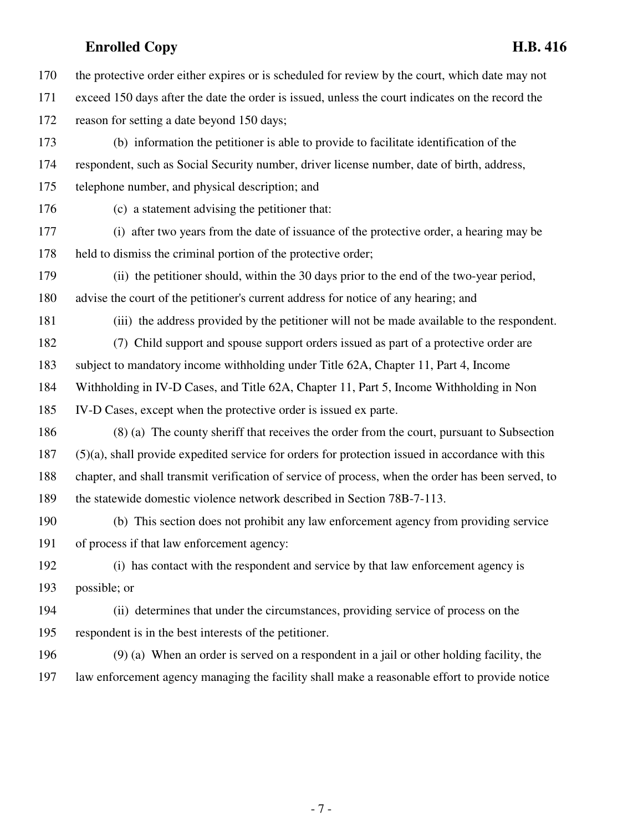170 the protective order either expires or is scheduled for review by the court, which date may not

- 171 exceed 150 days after the date the order is issued, unless the court indicates on the record the
- 172 reason for setting a date beyond 150 days;
- 173 (b) information the petitioner is able to provide to facilitate identification of the 174 respondent, such as Social Security number, driver license number, date of birth, address, 175 telephone number, and physical description; and
- 

176 (c) a statement advising the petitioner that:

- 177 (i) after two years from the date of issuance of the protective order, a hearing may be 178 held to dismiss the criminal portion of the protective order;
- 179 (ii) the petitioner should, within the 30 days prior to the end of the two-year period, 180 advise the court of the petitioner's current address for notice of any hearing; and
- 181 (iii) the address provided by the petitioner will not be made available to the respondent.
- 182 (7) Child support and spouse support orders issued as part of a protective order are
- 183 subject to mandatory income withholding under Title 62A, Chapter 11, Part 4, Income
- 184 Withholding in IV-D Cases, and Title 62A, Chapter 11, Part 5, Income Withholding in Non
- 185 IV-D Cases, except when the protective order is issued ex parte.
- 186 (8) (a) The county sheriff that receives the order from the court, pursuant to Subsection 187 (5)(a), shall provide expedited service for orders for protection issued in accordance with this 188 chapter, and shall transmit verification of service of process, when the order has been served, to 189 the statewide domestic violence network described in Section 78B-7-113.
- 190 (b) This section does not prohibit any law enforcement agency from providing service 191 of process if that law enforcement agency:
- 192 (i) has contact with the respondent and service by that law enforcement agency is 193 possible; or
- 194 (ii) determines that under the circumstances, providing service of process on the 195 respondent is in the best interests of the petitioner.
- 196 (9) (a) When an order is served on a respondent in a jail or other holding facility, the 197 law enforcement agency managing the facility shall make a reasonable effort to provide notice